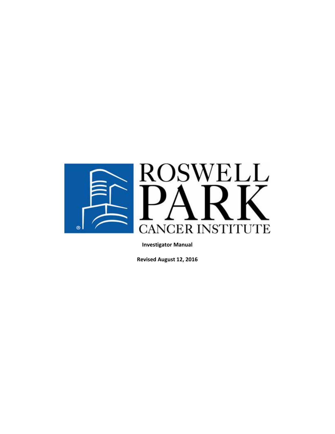

**Revised August 12, 2016**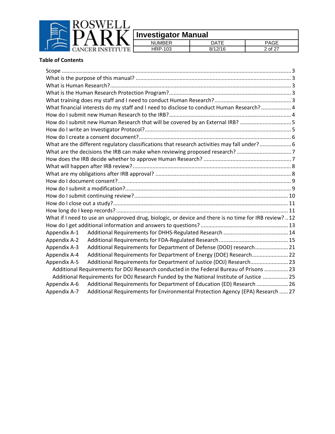

|                  | <b>IMRER</b><br>NH | $\sim$ |
|------------------|--------------------|--------|
| <b>STAR</b><br>ຼ | 03                 | ∩t     |
|                  |                    |        |

#### **Table of Contents**

|              | What financial interests do my staff and I need to disclose to conduct Human Research? 4              |  |  |  |  |
|--------------|-------------------------------------------------------------------------------------------------------|--|--|--|--|
|              |                                                                                                       |  |  |  |  |
|              | How do I submit new Human Research that will be covered by an External IRB? 5                         |  |  |  |  |
|              |                                                                                                       |  |  |  |  |
|              |                                                                                                       |  |  |  |  |
|              | What are the different regulatory classifications that research activities may fall under?6           |  |  |  |  |
|              | What are the decisions the IRB can make when reviewing proposed research? 7                           |  |  |  |  |
|              |                                                                                                       |  |  |  |  |
|              |                                                                                                       |  |  |  |  |
|              |                                                                                                       |  |  |  |  |
|              |                                                                                                       |  |  |  |  |
|              |                                                                                                       |  |  |  |  |
|              |                                                                                                       |  |  |  |  |
|              |                                                                                                       |  |  |  |  |
|              |                                                                                                       |  |  |  |  |
|              | What if I need to use an unapproved drug, biologic, or device and there is no time for IRB review? 12 |  |  |  |  |
|              |                                                                                                       |  |  |  |  |
| Appendix A-1 |                                                                                                       |  |  |  |  |
| Appendix A-2 |                                                                                                       |  |  |  |  |
| Appendix A-3 | Additional Requirements for Department of Defense (DOD) research 21                                   |  |  |  |  |
| Appendix A-4 | Additional Requirements for Department of Energy (DOE) Research 22                                    |  |  |  |  |
| Appendix A-5 | Additional Requirements for Department of Justice (DOJ) Research 23                                   |  |  |  |  |
|              | Additional Requirements for DOJ Research conducted in the Federal Bureau of Prisons  23               |  |  |  |  |
|              | Additional Requirements for DOJ Research Funded by the National Institute of Justice  25              |  |  |  |  |
| Appendix A-6 | Additional Requirements for Department of Education (ED) Research  26                                 |  |  |  |  |
| Appendix A-7 | Additional Requirements for Environmental Protection Agency (EPA) Research  27                        |  |  |  |  |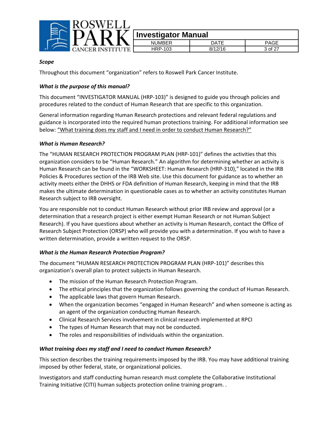

| -4 | moscrigator marradi |      |         |
|----|---------------------|------|---------|
|    | NI IMRFR            | ገATF | PAGE    |
|    | <b>HRP-103</b>      | O/   | 3 of 27 |
|    |                     |      |         |

#### *Scope*

Throughout this document "organization" refers to Roswell Park Cancer Institute.

#### *What is the purpose of this manual?*

This document "INVESTIGATOR MANUAL (HRP‐103)" is designed to guide you through policies and procedures related to the conduct of Human Research that are specific to this organization.

General information regarding Human Research protections and relevant federal regulations and guidance is incorporated into the required human protections training. For additional information see below: "What training does my staff and I need in order to conduct Human Research?"

#### *What is Human Research?*

The "HUMAN RESEARCH PROTECTION PROGRAM PLAN (HRP‐101)" defines the activities that this organization considers to be "Human Research." An algorithm for determining whether an activity is Human Research can be found in the "WORKSHEET: Human Research (HRP‐310)," located in the IRB Policies & Procedures section of the IRB Web site. Use this document for guidance as to whether an activity meets either the DHHS or FDA definition of Human Research, keeping in mind that the IRB makes the ultimate determination in questionable cases as to whether an activity constitutes Human Research subject to IRB oversight.

You are responsible not to conduct Human Research without prior IRB review and approval (or a determination that a research project is either exempt Human Research or not Human Subject Research). If you have questions about whether an activity is Human Research, contact the Office of Research Subject Protection (ORSP) who will provide you with a determination. If you wish to have a written determination, provide a written request to the ORSP.

#### *What is the Human Research Protection Program?*

The document "HUMAN RESEARCH PROTECTION PROGRAM PLAN (HRP‐101)" describes this organization's overall plan to protect subjects in Human Research.

- The mission of the Human Research Protection Program.
- The ethical principles that the organization follows governing the conduct of Human Research.
- The applicable laws that govern Human Research.
- When the organization becomes "engaged in Human Research" and when someone is acting as an agent of the organization conducting Human Research.
- Clinical Research Services involvement in clinical research implemented at RPCI
- The types of Human Research that may not be conducted.
- The roles and responsibilities of individuals within the organization.

#### *What training does my staff and I need to conduct Human Research?*

This section describes the training requirements imposed by the IRB. You may have additional training imposed by other federal, state, or organizational policies.

Investigators and staff conducting human research must complete the Collaborative Institutional Training Initiative (CITI) human subjects protection online training program. .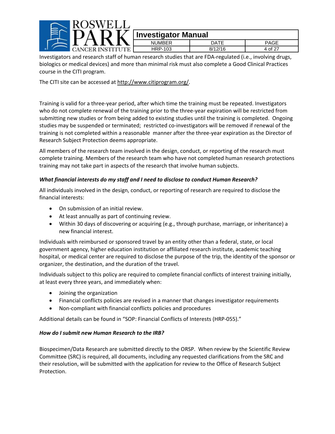

Investigators and research staff of human research studies that are FDA‐regulated (i.e., involving drugs, biologics or medical devices) and more than minimal risk must also complete a Good Clinical Practices course in the CITI program.

The CITI site can be accessed at http://www.citiprogram.org/.

Training is valid for a three‐year period, after which time the training must be repeated. Investigators who do not complete renewal of the training prior to the three-year expiration will be restricted from submitting new studies or from being added to existing studies until the training is completed. Ongoing studies may be suspended or terminated; restricted co-investigators will be removed if renewal of the training is not completed within a reasonable manner after the three‐year expiration as the Director of Research Subject Protection deems appropriate.

All members of the research team involved in the design, conduct, or reporting of the research must complete training. Members of the research team who have not completed human research protections training may not take part in aspects of the research that involve human subjects.

#### *What financial interests do my staff and I need to disclose to conduct Human Research?*

All individuals involved in the design, conduct, or reporting of research are required to disclose the financial interests:

- On submission of an initial review.
- At least annually as part of continuing review.
- Within 30 days of discovering or acquiring (e.g., through purchase, marriage, or inheritance) a new financial interest.

Individuals with reimbursed or sponsored travel by an entity other than a federal, state, or local government agency, higher education institution or affiliated research institute, academic teaching hospital, or medical center are required to disclose the purpose of the trip, the identity of the sponsor or organizer, the destination, and the duration of the travel.

Individuals subject to this policy are required to complete financial conflicts of interest training initially, at least every three years, and immediately when:

- Joining the organization
- Financial conflicts policies are revised in a manner that changes investigator requirements
- Non-compliant with financial conflicts policies and procedures

Additional details can be found in "SOP: Financial Conflicts of Interests (HRP‐055)."

#### *How do I submit new Human Research to the IRB?*

Biospecimen/Data Research are submitted directly to the ORSP. When review by the Scientific Review Committee (SRC) is required, all documents, including any requested clarifications from the SRC and their resolution, will be submitted with the application for review to the Office of Research Subject Protection.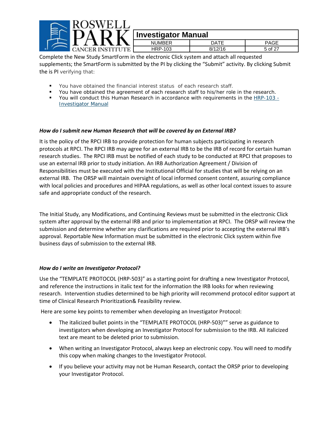

Complete the New Study SmartForm in the electronic Click system and attach all requested supplements; the SmartForm is submitted by the PI by clicking the "Submit" activity. By clicking Submit the is PI verifying that:

- You have obtained the financial interest status of each research staff.
- You have obtained the agreement of each research staff to his/her role in the research.
- You will conduct this Human Research in accordance with requirements in the HRP-103 -Investigator Manual

#### *How do I submit new Human Research that will be covered by an External IRB?*

It is the policy of the RPCI IRB to provide protection for human subjects participating in research protocols at RPCI. The RPCI IRB may agree for an external IRB to be the IRB of record for certain human research studies. The RPCI IRB must be notified of each study to be conducted at RPCI that proposes to use an external IRB prior to study initiation. An IRB Authorization Agreement / Division of Responsibilities must be executed with the Institutional Official for studies that will be relying on an external IRB. The ORSP will maintain oversight of local informed consent content, assuring compliance with local policies and procedures and HIPAA regulations, as well as other local context issues to assure safe and appropriate conduct of the research.

The Initial Study, any Modifications, and Continuing Reviews must be submitted in the electronic Click system after approval by the external IRB and prior to implementation at RPCI. The ORSP will review the submission and determine whether any clarifications are required prior to accepting the external IRB's approval. Reportable New Information must be submitted in the electronic Click system within five business days of submission to the external IRB.

#### *How do I write an Investigator Protocol?*

Use the "TEMPLATE PROTOCOL (HRP‐503)" as a starting point for drafting a new Investigator Protocol, and reference the instructions in italic text for the information the IRB looks for when reviewing research. Intervention studies determined to be high priority will recommend protocol editor support at time of Clinical Research Prioritization& Feasibility review.

Here are some key points to remember when developing an Investigator Protocol:

- The italicized bullet points in the "TEMPLATE PROTOCOL (HRP-503)"" serve as guidance to investigators when developing an Investigator Protocol for submission to the IRB. All italicized text are meant to be deleted prior to submission.
- When writing an Investigator Protocol, always keep an electronic copy. You will need to modify this copy when making changes to the Investigator Protocol.
- If you believe your activity may not be Human Research, contact the ORSP prior to developing your Investigator Protocol.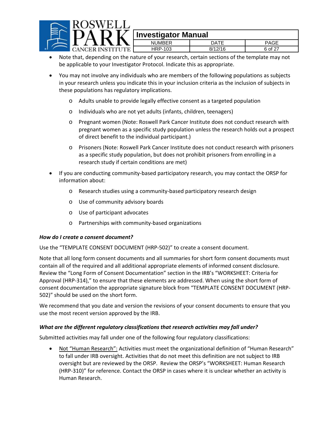

|          | <b>IIIVESUYAWI MAHUAI</b> |         |         |
|----------|---------------------------|---------|---------|
|          | <b>NUMBER</b>             | ገATF    | PAGE    |
| 'S'TI'TI | HRP-103                   | 3/12/16 | ჩ იf 27 |

- Note that, depending on the nature of your research, certain sections of the template may not be applicable to your Investigator Protocol. Indicate this as appropriate.
- You may not involve any individuals who are members of the following populations as subjects in your research unless you indicate this in your inclusion criteria as the inclusion of subjects in these populations has regulatory implications.
	- o Adults unable to provide legally effective consent as a targeted population
	- o Individuals who are not yet adults (infants, children, teenagers)
	- o Pregnant women (Note: Roswell Park Cancer Institute does not conduct research with pregnant women as a specific study population unless the research holds out a prospect of direct benefit to the individual participant.)
	- o Prisoners (Note: Roswell Park Cancer Institute does not conduct research with prisoners as a specific study population, but does not prohibit prisoners from enrolling in a research study if certain conditions are met)
- If you are conducting community‐based participatory research, you may contact the ORSP for information about:
	- o Research studies using a community‐based participatory research design
	- o Use of community advisory boards
	- o Use of participant advocates
	- o Partnerships with community‐based organizations

#### *How do I create a consent document?*

Use the "TEMPLATE CONSENT DOCUMENT (HRP‐502)" to create a consent document.

Note that all long form consent documents and all summaries for short form consent documents must contain all of the required and all additional appropriate elements of informed consent disclosure. Review the "Long Form of Consent Documentation" section in the IRB's "WORKSHEET: Criteria for Approval (HRP-314)," to ensure that these elements are addressed. When using the short form of consent documentation the appropriate signature block from "TEMPLATE CONSENT DOCUMENT (HRP‐ 502)" should be used on the short form.

We recommend that you date and version the revisions of your consent documents to ensure that you use the most recent version approved by the IRB.

#### *What are the different regulatory classifications that research activities may fall under?*

Submitted activities may fall under one of the following four regulatory classifications:

 Not "Human Research": Activities must meet the organizational definition of "Human Research" to fall under IRB oversight. Activities that do not meet this definition are not subject to IRB oversight but are reviewed by the ORSP. Review the ORSP's "WORKSHEET: Human Research (HRP‐310)" for reference. Contact the ORSP in cases where it is unclear whether an activity is Human Research.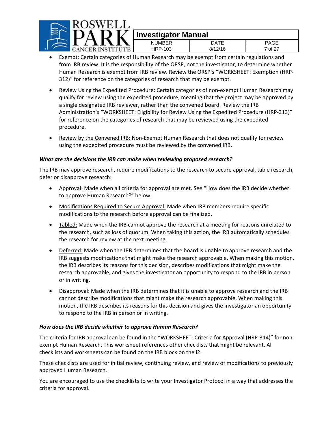

| mirtəngalum manadı |         |                        |
|--------------------|---------|------------------------|
| <b>NUMBER</b>      | NATF    | PAGF                   |
| HRP-103            | 8/12/16 | $\epsilon$ of 2 $^{-}$ |

- **Exempt:** Certain categories of Human Research may be exempt from certain regulations and from IRB review. It is the responsibility of the ORSP, not the investigator, to determine whether Human Research is exempt from IRB review. Review the ORSP's "WORKSHEET: Exemption (HRP‐ 312)" for reference on the categories of research that may be exempt.
- Review Using the Expedited Procedure: Certain categories of non‐exempt Human Research may qualify for review using the expedited procedure, meaning that the project may be approved by a single designated IRB reviewer, rather than the convened board. Review the IRB Administration's "WORKSHEET: Eligibility for Review Using the Expedited Procedure (HRP‐313)" for reference on the categories of research that may be reviewed using the expedited procedure.
- Review by the Convened IRB: Non‐Exempt Human Research that does not qualify for review using the expedited procedure must be reviewed by the convened IRB.

#### *What are the decisions the IRB can make when reviewing proposed research?*

The IRB may approve research, require modifications to the research to secure approval, table research, defer or disapprove research:

- Approval: Made when all criteria for approval are met. See "How does the IRB decide whether to approve Human Research?" below.
- Modifications Required to Secure Approval: Made when IRB members require specific modifications to the research before approval can be finalized.
- Tabled: Made when the IRB cannot approve the research at a meeting for reasons unrelated to the research, such as loss of quorum. When taking this action, the IRB automatically schedules the research for review at the next meeting.
- Deferred: Made when the IRB determines that the board is unable to approve research and the IRB suggests modifications that might make the research approvable. When making this motion, the IRB describes its reasons for this decision, describes modifications that might make the research approvable, and gives the investigator an opportunity to respond to the IRB in person or in writing.
- Disapproval: Made when the IRB determines that it is unable to approve research and the IRB cannot describe modifications that might make the research approvable. When making this motion, the IRB describes its reasons for this decision and gives the investigator an opportunity to respond to the IRB in person or in writing.

#### *How does the IRB decide whether to approve Human Research?*

The criteria for IRB approval can be found in the "WORKSHEET: Criteria for Approval (HRP‐314)" for non‐ exempt Human Research. This worksheet references other checklists that might be relevant. All checklists and worksheets can be found on the IRB block on the i2.

These checklists are used for initial review, continuing review, and review of modifications to previously approved Human Research.

You are encouraged to use the checklists to write your Investigator Protocol in a way that addresses the criteria for approval.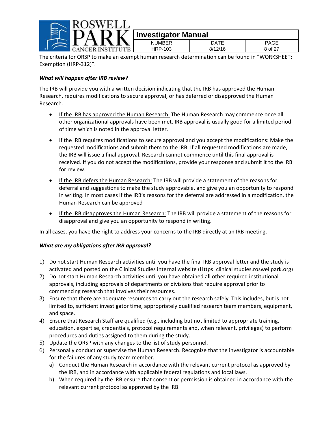

### **Investigator Manual** NUMBER | DATE | PAGE

HRP-103 8/12/16 8 of 27 **CANCER INSTITUTE** The criteria for ORSP to make an exempt human research determination can be found in "WORKSHEET: Exemption (HRP‐312)".

#### *What will happen after IRB review?*

The IRB will provide you with a written decision indicating that the IRB has approved the Human Research, requires modifications to secure approval, or has deferred or disapproved the Human Research.

- If the IRB has approved the Human Research: The Human Research may commence once all other organizational approvals have been met. IRB approval is usually good for a limited period of time which is noted in the approval letter.
- If the IRB requires modifications to secure approval and you accept the modifications: Make the requested modifications and submit them to the IRB. If all requested modifications are made, the IRB will issue a final approval. Research cannot commence until this final approval is received. If you do not accept the modifications, provide your response and submit it to the IRB for review.
- If the IRB defers the Human Research: The IRB will provide a statement of the reasons for deferral and suggestions to make the study approvable, and give you an opportunity to respond in writing. In most cases if the IRB's reasons for the deferral are addressed in a modification, the Human Research can be approved
- If the IRB disapproves the Human Research: The IRB will provide a statement of the reasons for disapproval and give you an opportunity to respond in writing.

In all cases, you have the right to address your concerns to the IRB directly at an IRB meeting.

#### *What are my obligations after IRB approval?*

- 1) Do not start Human Research activities until you have the final IRB approval letter and the study is activated and posted on the Clinical Studies internal website (Https: clinical studies.roswellpark.org)
- 2) Do not start Human Research activities until you have obtained all other required institutional approvals, including approvals of departments or divisions that require approval prior to commencing research that involves their resources.
- 3) Ensure that there are adequate resources to carry out the research safely. This includes, but is not limited to, sufficient investigator time, appropriately qualified research team members, equipment, and space.
- 4) Ensure that Research Staff are qualified (e.g., including but not limited to appropriate training, education, expertise, credentials, protocol requirements and, when relevant, privileges) to perform procedures and duties assigned to them during the study.
- 5) Update the ORSP with any changes to the list of study personnel.
- 6) Personally conduct or supervise the Human Research. Recognize that the investigator is accountable for the failures of any study team member.
	- a) Conduct the Human Research in accordance with the relevant current protocol as approved by the IRB, and in accordance with applicable federal regulations and local laws.
	- b) When required by the IRB ensure that consent or permission is obtained in accordance with the relevant current protocol as approved by the IRB.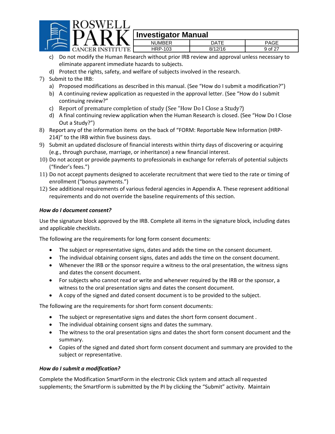

## **I** $\sum$  Investigator Manual

| ----<br>n |         |         |         |
|-----------|---------|---------|---------|
|           | NUMBER  | DATE    | PAGE    |
| ER INST   | HRP-103 | 8/12/16 | 9 of 27 |
|           |         |         |         |

- c) Do not modify the Human Research without prior IRB review and approval unless necessary to eliminate apparent immediate hazards to subjects.
- d) Protect the rights, safety, and welfare of subjects involved in the research.
- 7) Submit to the IRB:
	- a) Proposed modifications as described in this manual. (See "How do I submit a modification?")
	- b) A continuing review application as requested in the approval letter. (See "How do I submit continuing review?"
	- c) Report of premature completion of study (See "How Do I Close a Study?)
	- d) A final continuing review application when the Human Research is closed. (See "How Do I Close Out a Study?")
- 8) Report any of the information items on the back of "FORM: Reportable New Information (HRP-214)" to the IRB within five business days.
- 9) Submit an updated disclosure of financial interests within thirty days of discovering or acquiring (e.g., through purchase, marriage, or inheritance) a new financial interest.
- 10) Do not accept or provide payments to professionals in exchange for referrals of potential subjects ("finder's fees.")
- 11) Do not accept payments designed to accelerate recruitment that were tied to the rate or timing of enrollment ("bonus payments.")
- 12) See additional requirements of various federal agencies in Appendix A. These represent additional requirements and do not override the baseline requirements of this section.

#### *How do I document consent?*

Use the signature block approved by the IRB. Complete all items in the signature block, including dates and applicable checklists.

The following are the requirements for long form consent documents:

- The subject or representative signs, dates and adds the time on the consent document.
- The individual obtaining consent signs, dates and adds the time on the consent document.
- Whenever the IRB or the sponsor require a witness to the oral presentation, the witness signs and dates the consent document.
- For subjects who cannot read or write and whenever required by the IRB or the sponsor, a witness to the oral presentation signs and dates the consent document.
- A copy of the signed and dated consent document is to be provided to the subject.

The following are the requirements for short form consent documents:

- The subject or representative signs and dates the short form consent document.
- The individual obtaining consent signs and dates the summary.
- The witness to the oral presentation signs and dates the short form consent document and the summary.
- Copies of the signed and dated short form consent document and summary are provided to the subject or representative.

#### *How do I submit a modification?*

Complete the Modification SmartForm in the electronic Click system and attach all requested supplements; the SmartForm is submitted by the PI by clicking the "Submit" activity. Maintain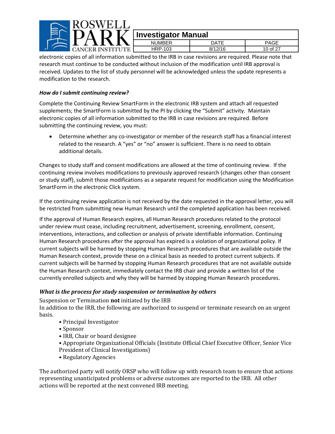

| <b>Investigator Manual</b> |         |          |
|----------------------------|---------|----------|
| <b>NUMBER</b>              | DATF    | PAGE     |
| HRP-103                    | 8/12/16 | 10 of 27 |

electronic copies of all information submitted to the IRB in case revisions are required. Please note that research must continue to be conducted without inclusion of the modification until IRB approval is received. Updates to the list of study personnel will be acknowledged unless the update represents a modification to the research.

#### *How do I submit continuing review?*

Complete the Continuing Review SmartForm in the electronic IRB system and attach all requested supplements; the SmartForm is submitted by the PI by clicking the "Submit" activity. Maintain electronic copies of all information submitted to the IRB in case revisions are required. Before submitting the continuing review, you must:

 Determine whether any co‐investigator or member of the research staff has a financial interest related to the research. A "yes" or "no" answer is sufficient. There is no need to obtain additional details.

Changes to study staff and consent modifications are allowed at the time of continuing review. If the continuing review involves modifications to previously approved research (changes other than consent or study staff), submit those modifications as a separate request for modification using the Modification SmartForm in the electronic Click system.

If the continuing review application is not received by the date requested in the approval letter, you will be restricted from submitting new Human Research until the completed application has been received.

If the approval of Human Research expires, all Human Research procedures related to the protocol under review must cease, including recruitment, advertisement, screening, enrollment, consent, interventions, interactions, and collection or analysis of private identifiable information. Continuing Human Research procedures after the approval has expired is a violation of organizational policy. If current subjects will be harmed by stopping Human Research procedures that are available outside the Human Research context, provide these on a clinical basis as needed to protect current subjects. If current subjects will be harmed by stopping Human Research procedures that are not available outside the Human Research context, immediately contact the IRB chair and provide a written list of the currently enrolled subjects and why they will be harmed by stopping Human Research procedures.

#### *What is the process for study suspension or termination by others*

Suspension or Termination **not** initiated by the IRB

In addition to the IRB, the following are authorized to suspend or terminate research on an urgent basis. 

- Principal Investigator
- • Sponsor
- IRB, Chair or board designee
- Appropriate Organizational Officials (Institute Official Chief Executive Officer, Senior Vice President of Clinical Investigations)
- Regulatory Agencies

The authorized party will notify ORSP who will follow up with research team to ensure that actions representing unanticipated problems or adverse outcomes are reported to the IRB. All other actions will be reported at the next convened IRB meeting.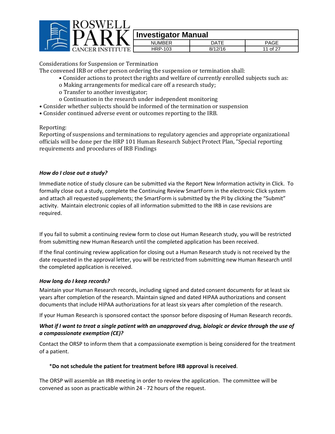

| $\cdots \cdots \cdots \cdots \cdots \cdots \cdots \cdots \cdots$ |         |    |
|------------------------------------------------------------------|---------|----|
| NI IMRER                                                         | י בו .  |    |
| HRP-103                                                          | 8/12/16 | ∽− |

Considerations for Suspension or Termination

- The convened IRB or other person ordering the suspension or termination shall:
	- Consider actions to protect the rights and welfare of currently enrolled subjects such as:
	- o Making arrangements for medical care off a research study;
	- o Transfer to another investigator;
	- o Continuation in the research under independent monitoring
- Consider whether subjects should be informed of the termination or suspension
- Consider continued adverse event or outcomes reporting to the IRB.

Reporting: 

Reporting of suspensions and terminations to regulatory agencies and appropriate organizational officials will be done per the HRP 101 Human Research Subject Protect Plan, "Special reporting requirements and procedures of IRB Findings

#### *How do I close out a study?*

Immediate notice of study closure can be submitted via the Report New Information activity in Click. To formally close out a study, complete the Continuing Review SmartForm in the electronic Click system and attach all requested supplements; the SmartForm is submitted by the PI by clicking the "Submit" activity. Maintain electronic copies of all information submitted to the IRB in case revisions are required.

If you fail to submit a continuing review form to close out Human Research study, you will be restricted from submitting new Human Research until the completed application has been received.

If the final continuing review application for closing out a Human Research study is not received by the date requested in the approval letter, you will be restricted from submitting new Human Research until the completed application is received.

#### *How long do I keep records?*

Maintain your Human Research records, including signed and dated consent documents for at least six years after completion of the research. Maintain signed and dated HIPAA authorizations and consent documents that include HIPAA authorizations for at least six years after completion of the research.

If your Human Research is sponsored contact the sponsor before disposing of Human Research records.

#### What if I want to treat a single patient with an unapproved drug, biologic or device through the use of *a compassionate exemption (CE)?*

Contact the ORSP to inform them that a compassionate exemption is being considered for the treatment of a patient.

#### \***Do not schedule the patient for treatment before IRB approval is received**.

The ORSP will assemble an IRB meeting in order to review the application. The committee will be convened as soon as practicable within 24 ‐ 72 hours of the request.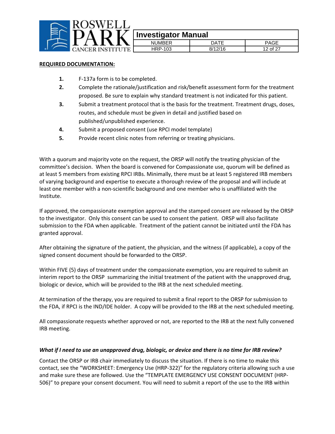

|              | 111122219741211174117411 |         |          |
|--------------|--------------------------|---------|----------|
|              | <b>NUMBER</b>            | DATF    |          |
| 7 P F<br>. . | HRP-103                  | R/19/1G | 12 of 27 |

#### **REQUIRED DOCUMENTATION:**

- **1.** F‐137a form is to be completed.
- **2.** Complete the rationale/justification and risk/benefit assessment form for the treatment proposed. Be sure to explain why standard treatment is not indicated for this patient.
- **3.** Submit a treatment protocol that is the basis for the treatment. Treatment drugs, doses, routes, and schedule must be given in detail and justified based on published/unpublished experience.
- **4.** Submit a proposed consent (use RPCI model template)
- **5.** Provide recent clinic notes from referring or treating physicians.

With a quorum and majority vote on the request, the ORSP will notify the treating physician of the committee's decision. When the board is convened for Compassionate use, quorum will be defined as at least 5 members from existing RPCI IRBs. Minimally, there must be at least 5 registered IRB members of varying background and expertise to execute a thorough review of the proposal and will include at least one member with a non‐scientific background and one member who is unaffiliated with the Institute.

If approved, the compassionate exemption approval and the stamped consent are released by the ORSP to the investigator. Only this consent can be used to consent the patient. ORSP will also facilitate submission to the FDA when applicable. Treatment of the patient cannot be initiated until the FDA has granted approval.

After obtaining the signature of the patient, the physician, and the witness (if applicable), a copy of the signed consent document should be forwarded to the ORSP.

Within FIVE (5) days of treatment under the compassionate exemption, you are required to submit an interim report to the ORSP summarizing the initial treatment of the patient with the unapproved drug, biologic or device, which will be provided to the IRB at the next scheduled meeting.

At termination of the therapy, you are required to submit a final report to the ORSP for submission to the FDA, if RPCI is the IND/IDE holder. A copy will be provided to the IRB at the next scheduled meeting.

All compassionate requests whether approved or not, are reported to the IRB at the next fully convened IRB meeting.

#### What if I need to use an unapproved drug, biologic, or device and there is no time for IRB review?

Contact the ORSP or IRB chair immediately to discuss the situation. If there is no time to make this contact, see the "WORKSHEET: Emergency Use (HRP‐322)" for the regulatory criteria allowing such a use and make sure these are followed. Use the "TEMPLATE EMERGENCY USE CONSENT DOCUMENT (HRP‐ 506)" to prepare your consent document. You will need to submit a report of the use to the IRB within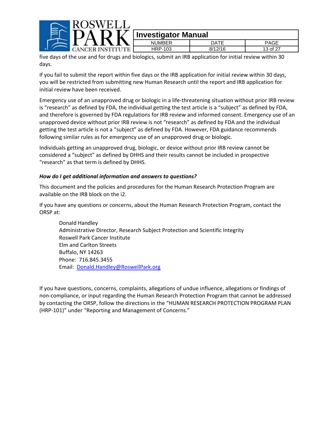

| ∼                               | ------        | -------------                   |                        |  |
|---------------------------------|---------------|---------------------------------|------------------------|--|
|                                 | <b>NUMBER</b> | ATT                             | <b>PAGE</b>            |  |
| ANG<br>ттъ.<br>$\sim$<br>$\sim$ | HRP-103       | 3/12/16                         | -3 of 2 <sup>7</sup> ، |  |
|                                 |               | the contract of the contract of |                        |  |

five days of the use and for drugs and biologics, submit an IRB application for initial review within 30 days.

If you fail to submit the report within five days or the IRB application for initial review within 30 days, you will be restricted from submitting new Human Research until the report and IRB application for initial review have been received.

Emergency use of an unapproved drug or biologic in a life‐threatening situation without prior IRB review is "research" as defined by FDA, the individual getting the test article is a "subject" as defined by FDA, and therefore is governed by FDA regulations for IRB review and informed consent. Emergency use of an unapproved device without prior IRB review is not "research" as defined by FDA and the individual getting the test article is not a "subject" as defined by FDA. However, FDA guidance recommends following similar rules as for emergency use of an unapproved drug or biologic.

Individuals getting an unapproved drug, biologic, or device without prior IRB review cannot be considered a "subject" as defined by DHHS and their results cannot be included in prospective "research" as that term is defined by DHHS.

#### *How do I get additional information and answers to questions?*

This document and the policies and procedures for the Human Research Protection Program are available on the IRB block on the i2.

If you have any questions or concerns, about the Human Research Protection Program, contact the ORSP at:

Donald Handley Administrative Director, Research Subject Protection and Scientific Integrity Roswell Park Cancer Institute Elm and Carlton Streets Buffalo, NY 14263 Phone: 716.845.3455 Email: Donald.Handley@RoswellPark.org

If you have questions, concerns, complaints, allegations of undue influence, allegations or findings of non‐compliance, or input regarding the Human Research Protection Program that cannot be addressed by contacting the ORSP, follow the directions in the "HUMAN RESEARCH PROTECTION PROGRAM PLAN (HRP‐101)" under "Reporting and Management of Concerns."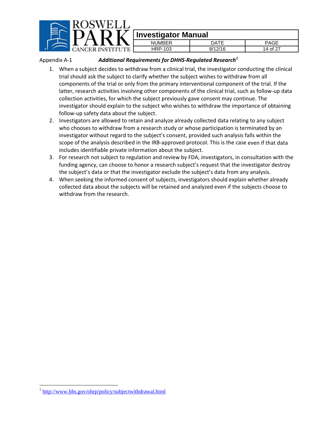

### *Additional Requirements for DHHS‐Regulated Research<sup>1</sup>* Appendix A‐1

- 1. When a subject decides to withdraw from a clinical trial, the investigator conducting the clinical trial should ask the subject to clarify whether the subject wishes to withdraw from all components of the trial or only from the primary interventional component of the trial. If the latter, research activities involving other components of the clinical trial, such as follow-up data collection activities, for which the subject previously gave consent may continue. The investigator should explain to the subject who wishes to withdraw the importance of obtaining follow‐up safety data about the subject.
- 2. Investigators are allowed to retain and analyze already collected data relating to any subject who chooses to withdraw from a research study or whose participation is terminated by an investigator without regard to the subject's consent, provided such analysis falls within the scope of the analysis described in the IRB-approved protocol. This is the case even if that data includes identifiable private information about the subject.
- 3. For research not subject to regulation and review by FDA, investigators, in consultation with the funding agency, can choose to honor a research subject's request that the investigator destroy the subject's data or that the investigator exclude the subject's data from any analysis.
- 4. When seeking the informed consent of subjects, investigators should explain whether already collected data about the subjects will be retained and analyzed even if the subjects choose to withdraw from the research.

 $\overline{a}$ 

<sup>1</sup> http://www.hhs.gov/ohrp/policy/subjectwithdrawal.html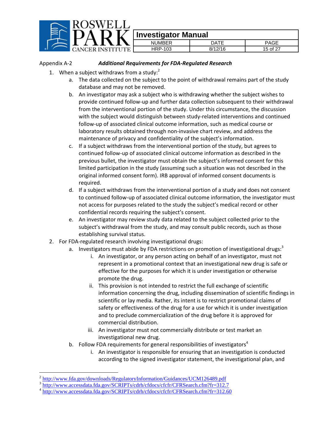

#### Appendix A‐2 *Additional Requirements for FDA‐Regulated Research*

- 1. When a subject withdraws from a study: $2^2$ 
	- a. The data collected on the subject to the point of withdrawal remains part of the study database and may not be removed.
	- b. An investigator may ask a subject who is withdrawing whether the subject wishes to provide continued follow‐up and further data collection subsequent to their withdrawal from the interventional portion of the study. Under this circumstance, the discussion with the subject would distinguish between study-related interventions and continued follow‐up of associated clinical outcome information, such as medical course or laboratory results obtained through non‐invasive chart review, and address the maintenance of privacy and confidentiality of the subject's information.
	- c. If a subject withdraws from the interventional portion of the study, but agrees to continued follow‐up of associated clinical outcome information as described in the previous bullet, the investigator must obtain the subject's informed consent for this limited participation in the study (assuming such a situation was not described in the original informed consent form). IRB approval of informed consent documents is required.
	- d. If a subject withdraws from the interventional portion of a study and does not consent to continued follow‐up of associated clinical outcome information, the investigator must not access for purposes related to the study the subject's medical record or other confidential records requiring the subject's consent.
	- e. An investigator may review study data related to the subject collected prior to the subject's withdrawal from the study, and may consult public records, such as those establishing survival status.
- 2. For FDA‐regulated research involving investigational drugs:
	- a. Investigators must abide by FDA restrictions on promotion of investigational drugs:<sup>3</sup>
		- i. An investigator, or any person acting on behalf of an investigator, must not represent in a promotional context that an investigational new drug is safe or effective for the purposes for which it is under investigation or otherwise promote the drug.
		- ii. This provision is not intended to restrict the full exchange of scientific information concerning the drug, including dissemination of scientific findings in scientific or lay media. Rather, its intent is to restrict promotional claims of safety or effectiveness of the drug for a use for which it is under investigation and to preclude commercialization of the drug before it is approved for commercial distribution.
		- iii. An investigator must not commercially distribute or test market an investigational new drug.
	- b. Follow FDA requirements for general responsibilities of investigators $4$ 
		- i. An investigator is responsible for ensuring that an investigation is conducted according to the signed investigator statement, the investigational plan, and

 $\overline{a}$ 

<sup>&</sup>lt;sup>2</sup> http://www.fda.gov/downloads/RegulatoryInformation/Guidances/UCM126489.pdf<br><sup>3</sup> http://www.accessdata.fda.gov/<u>SCRIPTs/cdrh/cfdocs/cfcfr/CFRSearch.cfm?fr=312.7</u>

<sup>&</sup>lt;sup>4</sup> http://www.accessdata.fda.gov/SCRIPTs/cdrh/cfdocs/cfcfr/CFRSearch.cfm?fr=312.60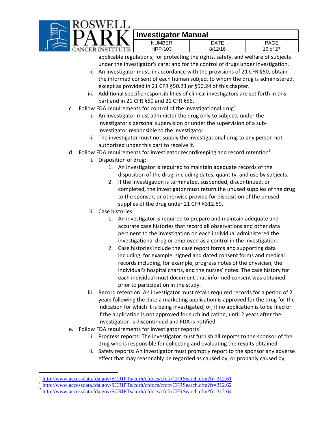

# $\widetilde{\mathbf{V}}$  Investigator Manual

| .    | UMBER<br>NΙ  | $DA^{\tau\tau}$    | PAGE             |
|------|--------------|--------------------|------------------|
| R IN | HRP-103      | 8/12/16            | of 27<br>۱G<br>ີ |
| .    | . .<br>_____ | $\sim$<br>. .<br>. | $\sim$<br>. .    |

applicable regulations; for protecting the rights, safety, and welfare of subjects under the investigator's care; and for the control of drugs under investigation.

- ii. An investigator must, in accordance with the provisions of 21 CFR §50, obtain the informed consent of each human subject to whom the drug is administered, except as provided in 21 CFR §50.23 or §50.24 of this chapter.
- iii. Additional specific responsibilities of clinical investigators are set forth in this part and in 21 CFR §50 and 21 CFR §56.
- c. Follow FDA requirements for control of the investigational drug<sup>5</sup>
	- i. An investigator must administer the drug only to subjects under the investigator's personal supervision or under the supervision of a sub‐ investigator responsible to the investigator.
	- ii. The investigator must not supply the investigational drug to any person not authorized under this part to receive it.
- d. Follow FDA requirements for investigator recordkeeping and record retention<sup>6</sup>
	- i. Disposition of drug:
		- 1. An investigator is required to maintain adequate records of the disposition of the drug, including dates, quantity, and use by subjects.
		- 2. If the investigation is terminated, suspended, discontinued, or completed, the investigator must return the unused supplies of the drug to the sponsor, or otherwise provide for disposition of the unused supplies of the drug under 21 CFR §312.59.
	- ii. Case histories.
		- 1. An investigator is required to prepare and maintain adequate and accurate case histories that record all observations and other data pertinent to the investigation on each individual administered the investigational drug or employed as a control in the investigation.
		- 2. Case histories include the case report forms and supporting data including, for example, signed and dated consent forms and medical records including, for example, progress notes of the physician, the individual's hospital charts, and the nurses' notes. The case history for each individual must document that informed consent was obtained prior to participation in the study.
	- iii. Record retention: An investigator must retain required records for a period of 2 years following the date a marketing application is approved for the drug for the indication for which it is being investigated; or, if no application is to be filed or if the application is not approved for such indication, until 2 years after the investigation is discontinued and FDA is notified.
- e. Follow FDA requirements for investigator reports<sup>7</sup>
	- i. Progress reports: The investigator must furnish all reports to the sponsor of the drug who is responsible for collecting and evaluating the results obtained.
	- ii. Safety reports: An investigator must promptly report to the sponsor any adverse effect that may reasonably be regarded as caused by, or probably caused by,

<sup>&</sup>lt;sup>5</sup> http://www.accessdata.fda.gov/SCRIPTs/cdrh/cfdocs/cfcfr/CFRSearch.cfm?fr=312.61

<sup>&</sup>lt;sup>6</sup><br>http://www.accessdata.fda.gov/SCRIPTs/cdrh/cfdocs/cfcfr/CFRSearch.cfm?fr=312.62<br><sup>7</sup> http://www.accessdata.fda.gov/SCRIPTs/cdrh/cfdocs/cfcfr/CFRSearch.cfm?fr=312.64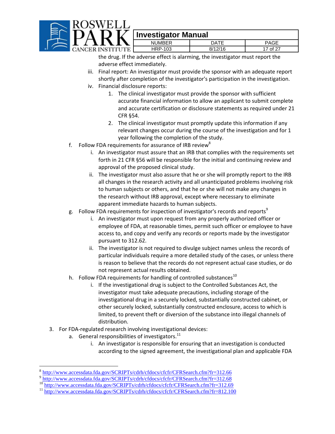

|  | NUMBER       | ۱ΔΤΓ    |    |
|--|--------------|---------|----|
|  | -103<br>HRP- | 8/12/16 | ∩† |

the drug. If the adverse effect is alarming, the investigator must report the adverse effect immediately.

- iii. Final report: An investigator must provide the sponsor with an adequate report shortly after completion of the investigator's participation in the investigation.
- iv. Financial disclosure reports:
	- 1. The clinical investigator must provide the sponsor with sufficient accurate financial information to allow an applicant to submit complete and accurate certification or disclosure statements as required under 21 CFR §54.
	- 2. The clinical investigator must promptly update this information if any relevant changes occur during the course of the investigation and for 1 year following the completion of the study.
- f. Follow FDA requirements for assurance of IRB review<sup>8</sup>
	- i. An investigator must assure that an IRB that complies with the requirements set forth in 21 CFR §56 will be responsible for the initial and continuing review and approval of the proposed clinical study.
	- ii. The investigator must also assure that he or she will promptly report to the IRB all changes in the research activity and all unanticipated problems involving risk to human subjects or others, and that he or she will not make any changes in the research without IRB approval, except where necessary to eliminate apparent immediate hazards to human subjects.
- g. Follow FDA requirements for inspection of investigator's records and reports<sup>9</sup>
	- i. An investigator must upon request from any properly authorized officer or employee of FDA, at reasonable times, permit such officer or employee to have access to, and copy and verify any records or reports made by the investigator pursuant to 312.62.
	- ii. The investigator is not required to divulge subject names unless the records of particular individuals require a more detailed study of the cases, or unless there is reason to believe that the records do not represent actual case studies, or do not represent actual results obtained.
- h. Follow FDA requirements for handling of controlled substances<sup>10</sup>
	- i. If the investigational drug is subject to the Controlled Substances Act, the investigator must take adequate precautions, including storage of the investigational drug in a securely locked, substantially constructed cabinet, or other securely locked, substantially constructed enclosure, access to which is limited, to prevent theft or diversion of the substance into illegal channels of distribution.
- 3. For FDA‐regulated research involving investigational devices:
	- a. General responsibilities of investigators.<sup>11</sup>

 $\overline{a}$ 

i. An investigator is responsible for ensuring that an investigation is conducted according to the signed agreement, the investigational plan and applicable FDA

<sup>&</sup>lt;sup>8</sup><br>http://www.accessdata.fda.gov/SCRIPTs/cdrh/cfdocs/cfcfr/CFRSearch.cfm?fr=312.66<br>http://www.accessdata.fda.gov/SCRIPTs/cdrh/cfdocs/cfcfr/CFRSearch.cfm?fr=312.68<br><sup>10</sup><br>http://www.accessdata.fda.gov/SCRIPTs/cdrh/cfdocs/cfc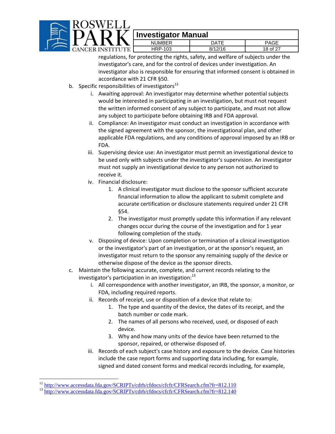

| -        | - - - - -<br>___<br>_____              |            |                      |
|----------|----------------------------------------|------------|----------------------|
|          | $\cdots$<br>$ -$<br><b>IMBLR</b><br>NΙ | ) A T F    |                      |
| vr.<br>Έ | 103<br>้⊢-<br>.<br>┑┍<br>              | 0/4C<br>O, | $\sim$<br>18.<br>⇔∩f |

regulations, for protecting the rights, safety, and welfare of subjects under the investigator's care, and for the control of devices under investigation. An investigator also is responsible for ensuring that informed consent is obtained in accordance with 21 CFR §50.

- b. Specific responsibilities of investigators $^{12}$ 
	- i. Awaiting approval: An investigator may determine whether potential subjects would be interested in participating in an investigation, but must not request the written informed consent of any subject to participate, and must not allow any subject to participate before obtaining IRB and FDA approval.
	- ii. Compliance: An investigator must conduct an investigation in accordance with the signed agreement with the sponsor, the investigational plan, and other applicable FDA regulations, and any conditions of approval imposed by an IRB or FDA.
	- iii. Supervising device use: An investigator must permit an investigational device to be used only with subjects under the investigator's supervision. An investigator must not supply an investigational device to any person not authorized to receive it.
	- iv. Financial disclosure:
		- 1. A clinical investigator must disclose to the sponsor sufficient accurate financial information to allow the applicant to submit complete and accurate certification or disclosure statements required under 21 CFR §54.
		- 2. The investigator must promptly update this information if any relevant changes occur during the course of the investigation and for 1 year following completion of the study.
	- v. Disposing of device: Upon completion or termination of a clinical investigation or the investigator's part of an investigation, or at the sponsor's request, an investigator must return to the sponsor any remaining supply of the device or otherwise dispose of the device as the sponsor directs.
- c. Maintain the following accurate, complete, and current records relating to the investigator's participation in an investigation:<sup>13</sup>
	- i. All correspondence with another investigator, an IRB, the sponsor, a monitor, or FDA, including required reports.
	- ii. Records of receipt, use or disposition of a device that relate to:
		- 1. The type and quantity of the device, the dates of its receipt, and the batch number or code mark.
		- 2. The names of all persons who received, used, or disposed of each device.
		- 3. Why and how many units of the device have been returned to the sponsor, repaired, or otherwise disposed of.
	- iii. Records of each subject's case history and exposure to the device. Case histories include the case report forms and supporting data including, for example, signed and dated consent forms and medical records including, for example,

 $\overline{a}$ 

 $12 \frac{\text{http://www.accessdata.fda.gov/SCRIPTs/cdrh/cfdocs/cfcfr/CFRSearch.cfm?fr=812.110}}{\text{http://www.accessdata.fda.gov/SCRIPTs/cdrh/cfdocs/cfcfr/CFRSearch.cfm?fr=812.140}}$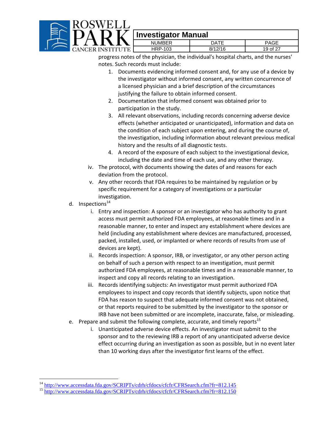

|              | - -          |                    |                          |
|--------------|--------------|--------------------|--------------------------|
|              | <b>IMRFR</b> | ٦А.                | ⊓∧∩г                     |
| ГU<br>$\sim$ | 03<br>- P- . | 8/19/1G<br>0/<br>ັ | $\sim$<br>∩t<br>У<br>- 1 |

progress notes of the physician, the individual's hospital charts, and the nurses' notes. Such records must include:

- 1. Documents evidencing informed consent and, for any use of a device by the investigator without informed consent, any written concurrence of a licensed physician and a brief description of the circumstances justifying the failure to obtain informed consent.
- 2. Documentation that informed consent was obtained prior to participation in the study.
- 3. All relevant observations, including records concerning adverse device effects (whether anticipated or unanticipated), information and data on the condition of each subject upon entering, and during the course of, the investigation, including information about relevant previous medical history and the results of all diagnostic tests.
- 4. A record of the exposure of each subject to the investigational device, including the date and time of each use, and any other therapy.
- iv. The protocol, with documents showing the dates of and reasons for each deviation from the protocol.
- v. Any other records that FDA requires to be maintained by regulation or by specific requirement for a category of investigations or a particular investigation.
- d. Inspections<sup>14</sup>

 $\overline{a}$ 

- i. Entry and inspection: A sponsor or an investigator who has authority to grant access must permit authorized FDA employees, at reasonable times and in a reasonable manner, to enter and inspect any establishment where devices are held (including any establishment where devices are manufactured, processed, packed, installed, used, or implanted or where records of results from use of devices are kept).
- ii. Records inspection: A sponsor, IRB, or investigator, or any other person acting on behalf of such a person with respect to an investigation, must permit authorized FDA employees, at reasonable times and in a reasonable manner, to inspect and copy all records relating to an investigation.
- iii. Records identifying subjects: An investigator must permit authorized FDA employees to inspect and copy records that identify subjects, upon notice that FDA has reason to suspect that adequate informed consent was not obtained, or that reports required to be submitted by the investigator to the sponsor or IRB have not been submitted or are incomplete, inaccurate, false, or misleading.
- e. Prepare and submit the following complete, accurate, and timely reports<sup>15</sup>
	- i. Unanticipated adverse device effects. An investigator must submit to the sponsor and to the reviewing IRB a report of any unanticipated adverse device effect occurring during an investigation as soon as possible, but in no event later than 10 working days after the investigator first learns of the effect.

<sup>&</sup>lt;sup>14</sup> http://www.accessdata.fda.gov/SCRIPTs/cdrh/cfdocs/cfcfr/CFRSearch.cfm?fr=812.145<br><sup>15</sup> http://www.accessdata.fda.gov/<u>SCRIPTs/cdrh/cfdocs/cfcfr/CFRSearch.cfm?fr=812.150</u>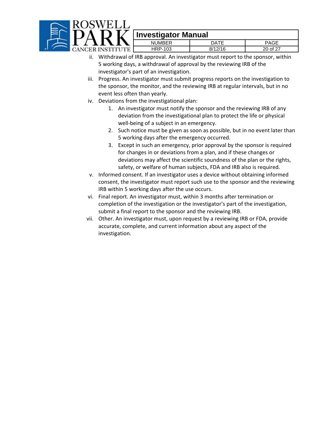

| $\cdots \cdots \cdots \cdots \cdots \cdots \cdots \cdots$ |         |                      |  |
|-----------------------------------------------------------|---------|----------------------|--|
| <b>NUMBER</b>                                             | NATF    | ንAGE                 |  |
| HRP-103                                                   | 0117116 | $20 \text{ of } 2^-$ |  |

- ii. Withdrawal of IRB approval. An investigator must report to the sponsor, within 5 working days, a withdrawal of approval by the reviewing IRB of the investigator's part of an investigation.
- iii. Progress. An investigator must submit progress reports on the investigation to the sponsor, the monitor, and the reviewing IRB at regular intervals, but in no event less often than yearly.
- iv. Deviations from the investigational plan:
	- 1. An investigator must notify the sponsor and the reviewing IRB of any deviation from the investigational plan to protect the life or physical well-being of a subject in an emergency.
	- 2. Such notice must be given as soon as possible, but in no event later than 5 working days after the emergency occurred.
	- 3. Except in such an emergency, prior approval by the sponsor is required for changes in or deviations from a plan, and if these changes or deviations may affect the scientific soundness of the plan or the rights, safety, or welfare of human subjects, FDA and IRB also is required.
- v. Informed consent. If an investigator uses a device without obtaining informed consent, the investigator must report such use to the sponsor and the reviewing IRB within 5 working days after the use occurs.
- vi. Final report. An investigator must, within 3 months after termination or completion of the investigation or the investigator's part of the investigation, submit a final report to the sponsor and the reviewing IRB.
- vii. Other. An investigator must, upon request by a reviewing IRB or FDA, provide accurate, complete, and current information about any aspect of the investigation.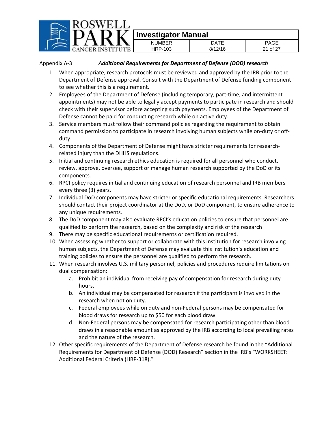

Appendix A‐3 *Additional Requirements for Department of Defense (DOD) research*

- 1. When appropriate, research protocols must be reviewed and approved by the IRB prior to the Department of Defense approval. Consult with the Department of Defense funding component to see whether this is a requirement.
- 2. Employees of the Department of Defense (including temporary, part-time, and intermittent appointments) may not be able to legally accept payments to participate in research and should check with their supervisor before accepting such payments. Employees of the Department of Defense cannot be paid for conducting research while on active duty.
- 3. Service members must follow their command policies regarding the requirement to obtain command permission to participate in research involving human subjects while on‐duty or off‐ duty.
- 4. Components of the Department of Defense might have stricter requirements for research‐ related injury than the DHHS regulations.
- 5. Initial and continuing research ethics education is required for all personnel who conduct, review, approve, oversee, support or manage human research supported by the DoD or its components.
- 6. RPCI policy requires initial and continuing education of research personnel and IRB members every three (3) years.
- 7. Individual DoD components may have stricter or specific educational requirements. Researchers should contact their project coordinator at the DoD, or DoD component, to ensure adherence to any unique requirements.
- 8. The DoD component may also evaluate RPCI's education policies to ensure that personnel are qualified to perform the research, based on the complexity and risk of the research
- 9. There may be specific educational requirements or certification required.
- 10. When assessing whether to support or collaborate with this institution for research involving human subjects, the Department of Defense may evaluate this institution's education and training policies to ensure the personnel are qualified to perform the research.
- 11. When research involves U.S. military personnel, policies and procedures require limitations on dual compensation:
	- a. Prohibit an individual from receiving pay of compensation for research during duty hours.
	- b. An individual may be compensated for research if the participant is involved in the research when not on duty.
	- c. Federal employees while on duty and non‐Federal persons may be compensated for blood draws for research up to \$50 for each blood draw.
	- d. Non‐Federal persons may be compensated for research participating other than blood draws in a reasonable amount as approved by the IRB according to local prevailing rates and the nature of the research.
- 12. Other specific requirements of the Department of Defense research be found in the "Additional Requirements for Department of Defense (DOD) Research" section in the IRB's "WORKSHEET: Additional Federal Criteria (HRP‐318)."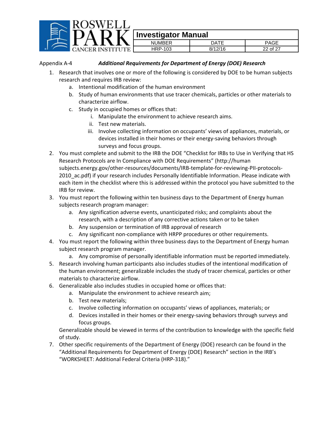|  | <b>Investigator Manual</b> |             |             |
|--|----------------------------|-------------|-------------|
|  | <b>NUMBER</b>              | <b>DATE</b> | <b>PAGE</b> |
|  | <b>HRP-103</b>             | 8/12/16     | 22 of 27    |

Appendix A‐4 *Additional Requirements for Department of Energy (DOE) Research*

- 1. Research that involves one or more of the following is considered by DOE to be human subjects research and requires IRB review:
	- a. Intentional modification of the human environment
	- b. Study of human environments that use tracer chemicals, particles or other materials to characterize airflow.
	- c. Study in occupied homes or offices that:
		- i. Manipulate the environment to achieve research aims.
		- ii. Test new materials.
		- iii. Involve collecting information on occupants' views of appliances, materials, or devices installed in their homes or their energy‐saving behaviors through surveys and focus groups.
- 2. You must complete and submit to the IRB the DOE "Checklist for IRBs to Use in Verifying that HS Research Protocols are In Compliance with DOE Requirements" (http://human subjects.energy.gov/other‐resources/documents/IRB‐template‐for‐reviewing‐PII‐protocols‐ 2010 ac.pdf) if your research includes Personally Identifiable Information. Please indicate with each item in the checklist where this is addressed within the protocol you have submitted to the IRB for review.
- 3. You must report the following within ten business days to the Department of Energy human subjects research program manager:
	- a. Any signification adverse events, unanticipated risks; and complaints about the research, with a description of any corrective actions taken or to be taken
	- b. Any suspension or termination of IRB approval of research
	- c. Any significant non‐compliance with HRPP procedures or other requirements.
- 4. You must report the following within three business days to the Department of Energy human subject research program manager.
	- a. Any compromise of personally identifiable information must be reported immediately.
- 5. Research involving human participants also includes studies of the intentional modification of the human environment; generalizable includes the study of tracer chemical, particles or other materials to characterize airflow.
- 6. Generalizable also includes studies in occupied home or offices that:
	- a. Manipulate the environment to achieve research aim;
	- b. Test new materials;
	- c. Involve collecting information on occupants' views of appliances, materials; or
	- d. Devices installed in their homes or their energy‐saving behaviors through surveys and focus groups.

Generalizable should be viewed in terms of the contribution to knowledge with the specific field of study.

7. Other specific requirements of the Department of Energy (DOE) research can be found in the "Additional Requirements for Department of Energy (DOE) Research" section in the IRB's "WORKSHEET: Additional Federal Criteria (HRP‐318)."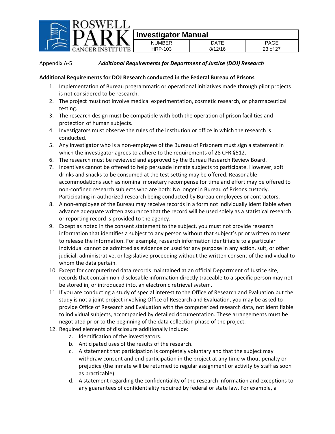

#### Appendix A‐5 *Additional Requirements for Department of Justice (DOJ) Research*

#### **Additional Requirements for DOJ Research conducted in the Federal Bureau of Prisons**

- 1. Implementation of Bureau programmatic or operational initiatives made through pilot projects is not considered to be research.
- 2. The project must not involve medical experimentation, cosmetic research, or pharmaceutical testing.
- 3. The research design must be compatible with both the operation of prison facilities and protection of human subjects.
- 4. Investigators must observe the rules of the institution or office in which the research is conducted.
- 5. Any investigator who is a non-employee of the Bureau of Prisoners must sign a statement in which the investigator agrees to adhere to the requirements of 28 CFR §512.
- 6. The research must be reviewed and approved by the Bureau Research Review Board.
- 7. Incentives cannot be offered to help persuade inmate subjects to participate. However, soft drinks and snacks to be consumed at the test setting may be offered. Reasonable accommodations such as nominal monetary recompense for time and effort may be offered to non‐confined research subjects who are both: No longer in Bureau of Prisons custody. Participating in authorized research being conducted by Bureau employees or contractors.
- 8. A non-employee of the Bureau may receive records in a form not individually identifiable when advance adequate written assurance that the record will be used solely as a statistical research or reporting record is provided to the agency.
- 9. Except as noted in the consent statement to the subject, you must not provide research information that identifies a subject to any person without that subject's prior written consent to release the information. For example, research information identifiable to a particular individual cannot be admitted as evidence or used for any purpose in any action, suit, or other judicial, administrative, or legislative proceeding without the written consent of the individual to whom the data pertain.
- 10. Except for computerized data records maintained at an official Department of Justice site, records that contain non‐disclosable information directly traceable to a specific person may not be stored in, or introduced into, an electronic retrieval system.
- 11. If you are conducting a study of special interest to the Office of Research and Evaluation but the study is not a joint project involving Office of Research and Evaluation, you may be asked to provide Office of Research and Evaluation with the computerized research data, not identifiable to individual subjects, accompanied by detailed documentation. These arrangements must be negotiated prior to the beginning of the data collection phase of the project.
- 12. Required elements of disclosure additionally include:
	- a. Identification of the investigators.
	- b. Anticipated uses of the results of the research.
	- c. A statement that participation is completely voluntary and that the subject may withdraw consent and end participation in the project at any time without penalty or prejudice (the inmate will be returned to regular assignment or activity by staff as soon as practicable).
	- d. A statement regarding the confidentiality of the research information and exceptions to any guarantees of confidentiality required by federal or state law. For example, a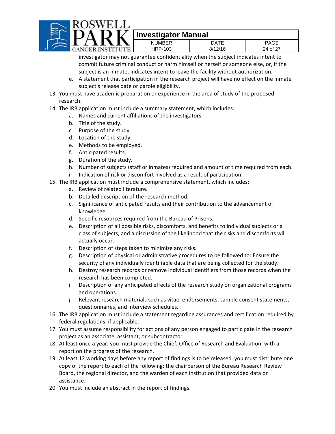

# $\overline{\mathbf{I}}$  $\overline{\mathbf{I}}$  Investigator Manual

| --        | . .           |         |                    |
|-----------|---------------|---------|--------------------|
|           | <b>NUMBER</b> | DATF    | PAGE               |
| ER<br>JTE | HRP-103       | 8/12/16 | 24 of 27<br>$\sim$ |
|           |               |         |                    |

investigator may not guarantee confidentiality when the subject indicates intent to commit future criminal conduct or harm himself or herself or someone else, or, if the subject is an inmate, indicates intent to leave the facility without authorization.

- e. A statement that participation in the research project will have no effect on the inmate subject's release date or parole eligibility.
- 13. You must have academic preparation or experience in the area of study of the proposed research.
- 14. The IRB application must include a summary statement, which includes:
	- a. Names and current affiliations of the investigators.
	- b. Title of the study.
	- c. Purpose of the study.
	- d. Location of the study.
	- e. Methods to be employed.
	- f. Anticipated results.
	- g. Duration of the study.
	- h. Number of subjects (staff or inmates) required and amount of time required from each.
	- i. Indication of risk or discomfort involved as a result of participation.
- 15. The IRB application must include a comprehensive statement, which includes:
	- a. Review of related literature.
	- b. Detailed description of the research method.
	- c. Significance of anticipated results and their contribution to the advancement of knowledge.
	- d. Specific resources required from the Bureau of Prisons.
	- e. Description of all possible risks, discomforts, and benefits to individual subjects or a class of subjects, and a discussion of the likelihood that the risks and discomforts will actually occur.
	- f. Description of steps taken to minimize any risks.
	- g. Description of physical or administrative procedures to be followed to: Ensure the security of any individually identifiable data that are being collected for the study.
	- h. Destroy research records or remove individual identifiers from those records when the research has been completed.
	- i. Description of any anticipated effects of the research study on organizational programs and operations.
	- j. Relevant research materials such as vitae, endorsements, sample consent statements, questionnaires, and interview schedules.
- 16. The IRB application must include a statement regarding assurances and certification required by federal regulations, if applicable.
- 17. You must assume responsibility for actions of any person engaged to participate in the research project as an associate, assistant, or subcontractor.
- 18. At least once a year, you must provide the Chief, Office of Research and Evaluation, with a report on the progress of the research.
- 19. At least 12 working days before any report of findings is to be released, you must distribute one copy of the report to each of the following: the chairperson of the Bureau Research Review Board, the regional director, and the warden of each institution that provided data or assistance.
- 20. You must include an abstract in the report of findings.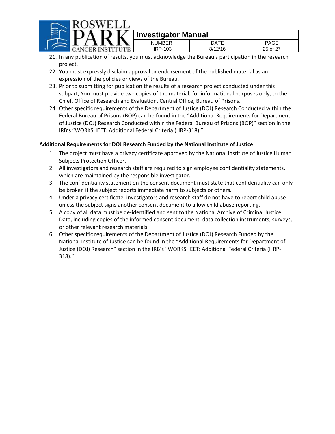

| ю  |                |               |                      |
|----|----------------|---------------|----------------------|
|    | <b>NUMBER</b>  | DATE          | PAGE                 |
| ₹R | <b>HRP-103</b> | 8/12/16<br>O/ | $25 \text{ of } 2^-$ |
|    |                |               |                      |

- 21. In any publication of results, you must acknowledge the Bureau's participation in the research project.
- 22. You must expressly disclaim approval or endorsement of the published material as an expression of the policies or views of the Bureau.
- 23. Prior to submitting for publication the results of a research project conducted under this subpart, You must provide two copies of the material, for informational purposes only, to the Chief, Office of Research and Evaluation, Central Office, Bureau of Prisons.
- 24. Other specific requirements of the Department of Justice (DOJ) Research Conducted within the Federal Bureau of Prisons (BOP) can be found in the "Additional Requirements for Department of Justice (DOJ) Research Conducted within the Federal Bureau of Prisons (BOP)" section in the IRB's "WORKSHEET: Additional Federal Criteria (HRP‐318)."

#### **Additional Requirements for DOJ Research Funded by the National Institute of Justice**

- 1. The project must have a privacy certificate approved by the National Institute of Justice Human Subjects Protection Officer.
- 2. All investigators and research staff are required to sign employee confidentiality statements, which are maintained by the responsible investigator.
- 3. The confidentiality statement on the consent document must state that confidentiality can only be broken if the subject reports immediate harm to subjects or others.
- 4. Under a privacy certificate, investigators and research staff do not have to report child abuse unless the subject signs another consent document to allow child abuse reporting.
- 5. A copy of all data must be de-identified and sent to the National Archive of Criminal Justice Data, including copies of the informed consent document, data collection instruments, surveys, or other relevant research materials.
- 6. Other specific requirements of the Department of Justice (DOJ) Research Funded by the National Institute of Justice can be found in the "Additional Requirements for Department of Justice (DOJ) Research" section in the IRB's "WORKSHEET: Additional Federal Criteria (HRP‐ 318)."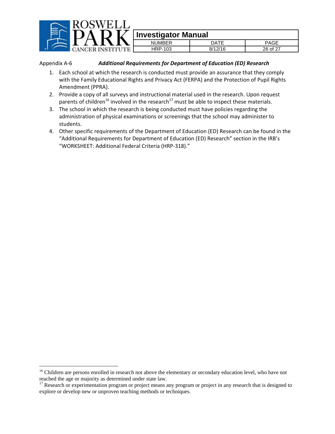

Appendix A‐6 *Additional Requirements for Department of Education (ED) Research*

- 1. Each school at which the research is conducted must provide an assurance that they comply with the Family Educational Rights and Privacy Act (FERPA) and the Protection of Pupil Rights Amendment (PPRA).
- 2. Provide a copy of all surveys and instructional material used in the research. Upon request parents of children<sup>16</sup> involved in the research<sup>17</sup> must be able to inspect these materials.
- 3. The school in which the research is being conducted must have policies regarding the administration of physical examinations or screenings that the school may administer to students.
- 4. Other specific requirements of the Department of Education (ED) Research can be found in the "Additional Requirements for Department of Education (ED) Research" section in the IRB's "WORKSHEET: Additional Federal Criteria (HRP‐318)."

 $\overline{a}$ 

<sup>&</sup>lt;sup>16</sup> Children are persons enrolled in research not above the elementary or secondary education level, who have not reached the age or majority as determined under state law.<br><sup>17</sup> Research or experimentation program or project means any program or project in any research that is designed to

explore or develop new or unproven teaching methods or techniques.